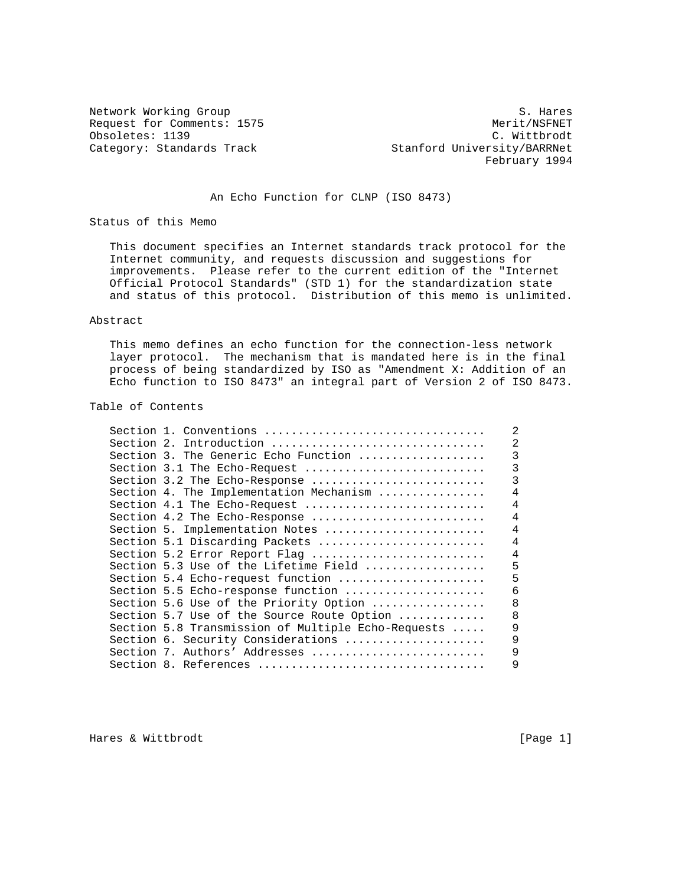Obsoletes: 1139<br>Category: Standards Track

Network Working Group S. Hares Request for Comments: 1575 Merit/NSFNET (b) Merit/NSFNET (b) Merit/NSFNET (b) Merit/NSFNET (b) Merit/NSFNET (b) Merit/NSFNET (b) Merit/NSFNET (b) Merit/NSFNET (b) Merit/NSFNET (b) Merit/NSFNET (b) Merit/NSFNET (b) Merit/NS Stanford University/BARRNet February 1994

## An Echo Function for CLNP (ISO 8473)

Status of this Memo

 This document specifies an Internet standards track protocol for the Internet community, and requests discussion and suggestions for improvements. Please refer to the current edition of the "Internet Official Protocol Standards" (STD 1) for the standardization state and status of this protocol. Distribution of this memo is unlimited.

#### Abstract

 This memo defines an echo function for the connection-less network layer protocol. The mechanism that is mandated here is in the final process of being standardized by ISO as "Amendment X: Addition of an Echo function to ISO 8473" an integral part of Version 2 of ISO 8473.

## Table of Contents

|  | Section 1. Conventions                             |                |
|--|----------------------------------------------------|----------------|
|  | Section 2. Introduction                            |                |
|  | Section 3. The Generic Echo Function               |                |
|  | Section 3.1 The Echo-Request                       | 3              |
|  | Section 3.2 The Echo-Response                      | 3              |
|  | Section 4. The Implementation Mechanism            | 4              |
|  | Section 4.1 The Echo-Request                       | 4              |
|  | Section 4.2 The Echo-Response                      | 4              |
|  | Section 5. Implementation Notes                    | 4              |
|  | Section 5.1 Discarding Packets                     | 4              |
|  | Section 5.2 Error Report Flag                      | $\overline{4}$ |
|  | Section 5.3 Use of the Lifetime Field              | 5              |
|  | Section 5.4 Echo-request function                  | 5              |
|  | Section 5.5 Echo-response function                 | 6              |
|  | Section 5.6 Use of the Priority Option             | 8              |
|  | Section 5.7 Use of the Source Route Option         | 8              |
|  | Section 5.8 Transmission of Multiple Echo-Requests | 9              |
|  | Section 6. Security Considerations                 | 9              |
|  | Section 7. Authors' Addresses                      | 9              |
|  | Section 8. References                              | 9              |

Hares & Wittbrodt [Page 1]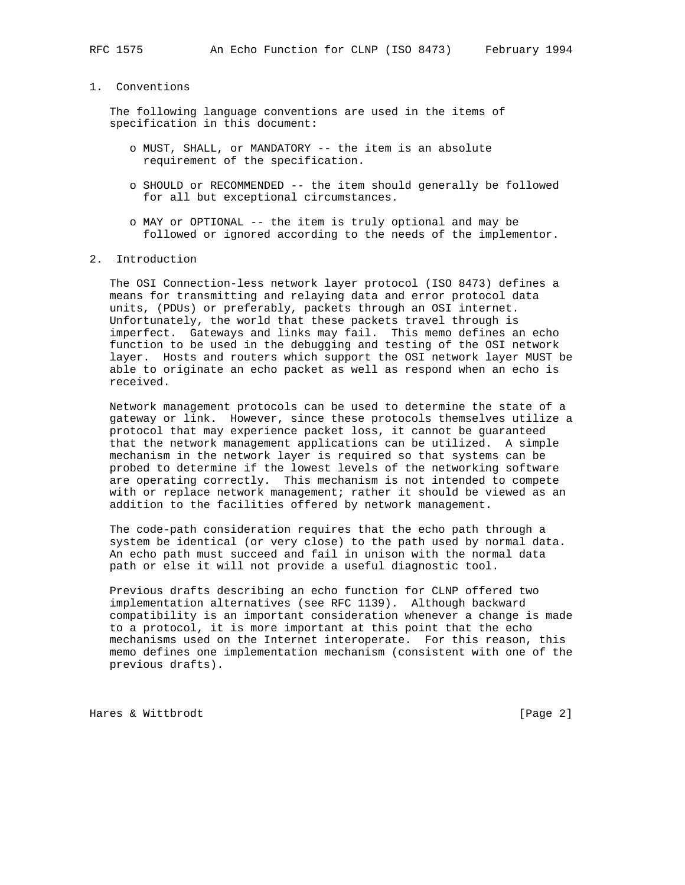#### 1. Conventions

 The following language conventions are used in the items of specification in this document:

- o MUST, SHALL, or MANDATORY -- the item is an absolute requirement of the specification.
- o SHOULD or RECOMMENDED -- the item should generally be followed for all but exceptional circumstances.
- o MAY or OPTIONAL -- the item is truly optional and may be followed or ignored according to the needs of the implementor.
- 2. Introduction

 The OSI Connection-less network layer protocol (ISO 8473) defines a means for transmitting and relaying data and error protocol data units, (PDUs) or preferably, packets through an OSI internet. Unfortunately, the world that these packets travel through is imperfect. Gateways and links may fail. This memo defines an echo function to be used in the debugging and testing of the OSI network layer. Hosts and routers which support the OSI network layer MUST be able to originate an echo packet as well as respond when an echo is received.

 Network management protocols can be used to determine the state of a gateway or link. However, since these protocols themselves utilize a protocol that may experience packet loss, it cannot be guaranteed that the network management applications can be utilized. A simple mechanism in the network layer is required so that systems can be probed to determine if the lowest levels of the networking software are operating correctly. This mechanism is not intended to compete with or replace network management; rather it should be viewed as an addition to the facilities offered by network management.

 The code-path consideration requires that the echo path through a system be identical (or very close) to the path used by normal data. An echo path must succeed and fail in unison with the normal data path or else it will not provide a useful diagnostic tool.

 Previous drafts describing an echo function for CLNP offered two implementation alternatives (see RFC 1139). Although backward compatibility is an important consideration whenever a change is made to a protocol, it is more important at this point that the echo mechanisms used on the Internet interoperate. For this reason, this memo defines one implementation mechanism (consistent with one of the previous drafts).

Hares & Wittbrodt [Page 2]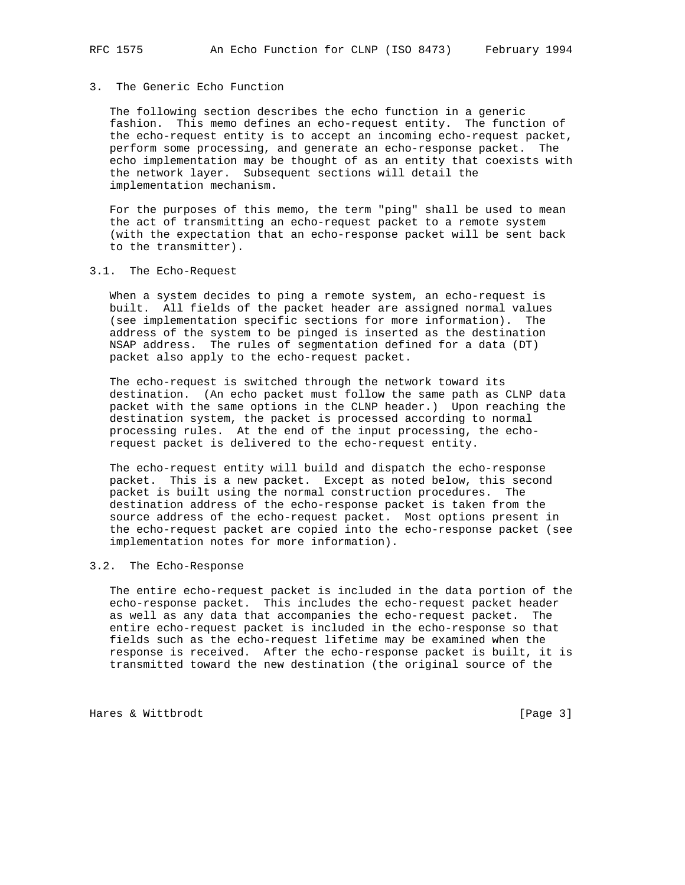## 3. The Generic Echo Function

 The following section describes the echo function in a generic fashion. This memo defines an echo-request entity. The function of the echo-request entity is to accept an incoming echo-request packet, perform some processing, and generate an echo-response packet. The echo implementation may be thought of as an entity that coexists with the network layer. Subsequent sections will detail the implementation mechanism.

 For the purposes of this memo, the term "ping" shall be used to mean the act of transmitting an echo-request packet to a remote system (with the expectation that an echo-response packet will be sent back to the transmitter).

#### 3.1. The Echo-Request

 When a system decides to ping a remote system, an echo-request is built. All fields of the packet header are assigned normal values (see implementation specific sections for more information). The address of the system to be pinged is inserted as the destination NSAP address. The rules of segmentation defined for a data (DT) packet also apply to the echo-request packet.

 The echo-request is switched through the network toward its destination. (An echo packet must follow the same path as CLNP data packet with the same options in the CLNP header.) Upon reaching the destination system, the packet is processed according to normal processing rules. At the end of the input processing, the echo request packet is delivered to the echo-request entity.

 The echo-request entity will build and dispatch the echo-response packet. This is a new packet. Except as noted below, this second packet is built using the normal construction procedures. The destination address of the echo-response packet is taken from the source address of the echo-request packet. Most options present in the echo-request packet are copied into the echo-response packet (see implementation notes for more information).

### 3.2. The Echo-Response

 The entire echo-request packet is included in the data portion of the echo-response packet. This includes the echo-request packet header as well as any data that accompanies the echo-request packet. The entire echo-request packet is included in the echo-response so that fields such as the echo-request lifetime may be examined when the response is received. After the echo-response packet is built, it is transmitted toward the new destination (the original source of the

Hares & Wittbrodt [Page 3]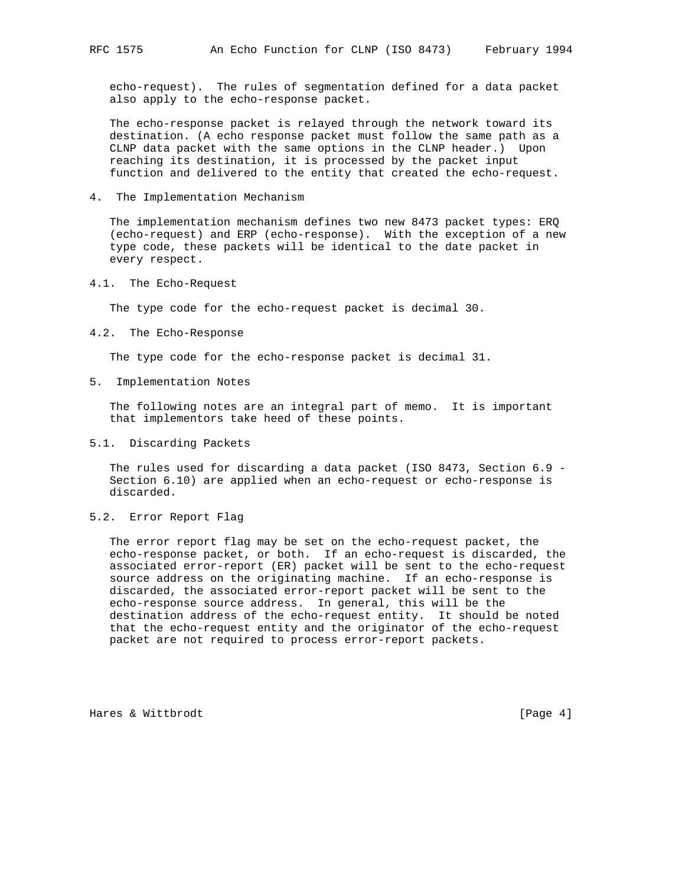echo-request). The rules of segmentation defined for a data packet also apply to the echo-response packet.

 The echo-response packet is relayed through the network toward its destination. (A echo response packet must follow the same path as a CLNP data packet with the same options in the CLNP header.) Upon reaching its destination, it is processed by the packet input function and delivered to the entity that created the echo-request.

4. The Implementation Mechanism

 The implementation mechanism defines two new 8473 packet types: ERQ (echo-request) and ERP (echo-response). With the exception of a new type code, these packets will be identical to the date packet in every respect.

4.1. The Echo-Request

The type code for the echo-request packet is decimal 30.

4.2. The Echo-Response

The type code for the echo-response packet is decimal 31.

5. Implementation Notes

 The following notes are an integral part of memo. It is important that implementors take heed of these points.

5.1. Discarding Packets

 The rules used for discarding a data packet (ISO 8473, Section 6.9 - Section 6.10) are applied when an echo-request or echo-response is discarded.

5.2. Error Report Flag

 The error report flag may be set on the echo-request packet, the echo-response packet, or both. If an echo-request is discarded, the associated error-report (ER) packet will be sent to the echo-request source address on the originating machine. If an echo-response is discarded, the associated error-report packet will be sent to the echo-response source address. In general, this will be the destination address of the echo-request entity. It should be noted that the echo-request entity and the originator of the echo-request packet are not required to process error-report packets.

Hares & Wittbrodt [Page 4]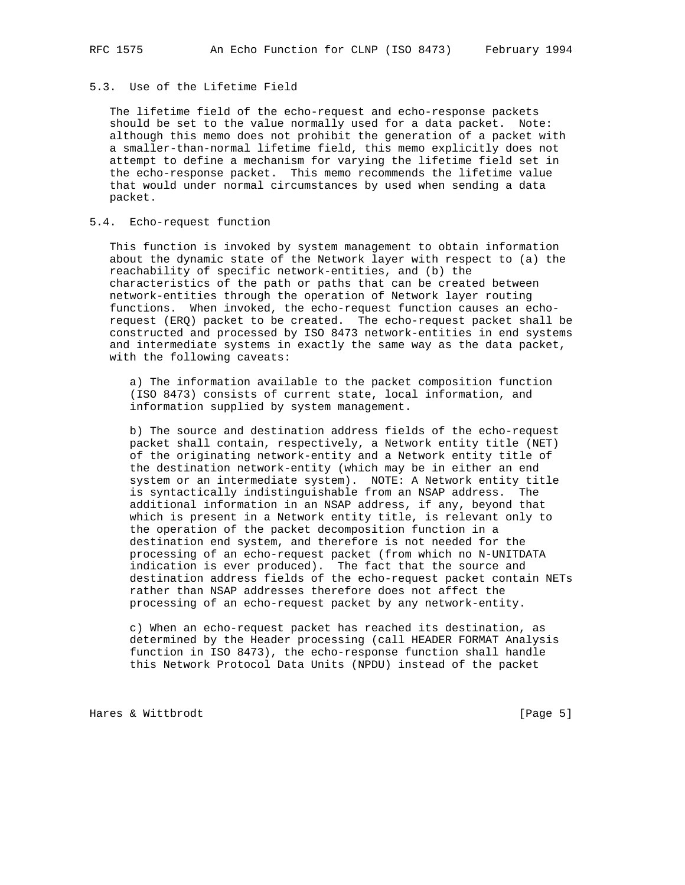# 5.3. Use of the Lifetime Field

 The lifetime field of the echo-request and echo-response packets should be set to the value normally used for a data packet. Note: although this memo does not prohibit the generation of a packet with a smaller-than-normal lifetime field, this memo explicitly does not attempt to define a mechanism for varying the lifetime field set in the echo-response packet. This memo recommends the lifetime value that would under normal circumstances by used when sending a data packet.

### 5.4. Echo-request function

 This function is invoked by system management to obtain information about the dynamic state of the Network layer with respect to (a) the reachability of specific network-entities, and (b) the characteristics of the path or paths that can be created between network-entities through the operation of Network layer routing functions. When invoked, the echo-request function causes an echo request (ERQ) packet to be created. The echo-request packet shall be constructed and processed by ISO 8473 network-entities in end systems and intermediate systems in exactly the same way as the data packet, with the following caveats:

 a) The information available to the packet composition function (ISO 8473) consists of current state, local information, and information supplied by system management.

 b) The source and destination address fields of the echo-request packet shall contain, respectively, a Network entity title (NET) of the originating network-entity and a Network entity title of the destination network-entity (which may be in either an end system or an intermediate system). NOTE: A Network entity title is syntactically indistinguishable from an NSAP address. The additional information in an NSAP address, if any, beyond that which is present in a Network entity title, is relevant only to the operation of the packet decomposition function in a destination end system, and therefore is not needed for the processing of an echo-request packet (from which no N-UNITDATA indication is ever produced). The fact that the source and destination address fields of the echo-request packet contain NETs rather than NSAP addresses therefore does not affect the processing of an echo-request packet by any network-entity.

 c) When an echo-request packet has reached its destination, as determined by the Header processing (call HEADER FORMAT Analysis function in ISO 8473), the echo-response function shall handle this Network Protocol Data Units (NPDU) instead of the packet

Hares & Wittbrodt [Page 5]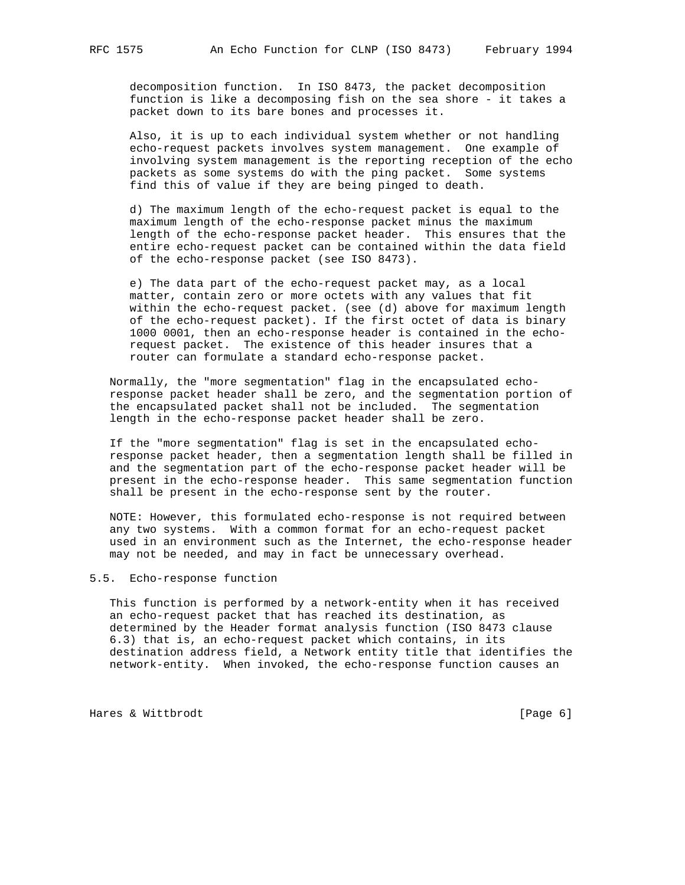decomposition function. In ISO 8473, the packet decomposition function is like a decomposing fish on the sea shore - it takes a packet down to its bare bones and processes it.

 Also, it is up to each individual system whether or not handling echo-request packets involves system management. One example of involving system management is the reporting reception of the echo packets as some systems do with the ping packet. Some systems find this of value if they are being pinged to death.

 d) The maximum length of the echo-request packet is equal to the maximum length of the echo-response packet minus the maximum length of the echo-response packet header. This ensures that the entire echo-request packet can be contained within the data field of the echo-response packet (see ISO 8473).

 e) The data part of the echo-request packet may, as a local matter, contain zero or more octets with any values that fit within the echo-request packet. (see (d) above for maximum length of the echo-request packet). If the first octet of data is binary 1000 0001, then an echo-response header is contained in the echo request packet. The existence of this header insures that a router can formulate a standard echo-response packet.

 Normally, the "more segmentation" flag in the encapsulated echo response packet header shall be zero, and the segmentation portion of the encapsulated packet shall not be included. The segmentation length in the echo-response packet header shall be zero.

 If the "more segmentation" flag is set in the encapsulated echo response packet header, then a segmentation length shall be filled in and the segmentation part of the echo-response packet header will be present in the echo-response header. This same segmentation function shall be present in the echo-response sent by the router.

 NOTE: However, this formulated echo-response is not required between any two systems. With a common format for an echo-request packet used in an environment such as the Internet, the echo-response header may not be needed, and may in fact be unnecessary overhead.

### 5.5. Echo-response function

 This function is performed by a network-entity when it has received an echo-request packet that has reached its destination, as determined by the Header format analysis function (ISO 8473 clause 6.3) that is, an echo-request packet which contains, in its destination address field, a Network entity title that identifies the network-entity. When invoked, the echo-response function causes an

Hares & Wittbrodt [Page 6]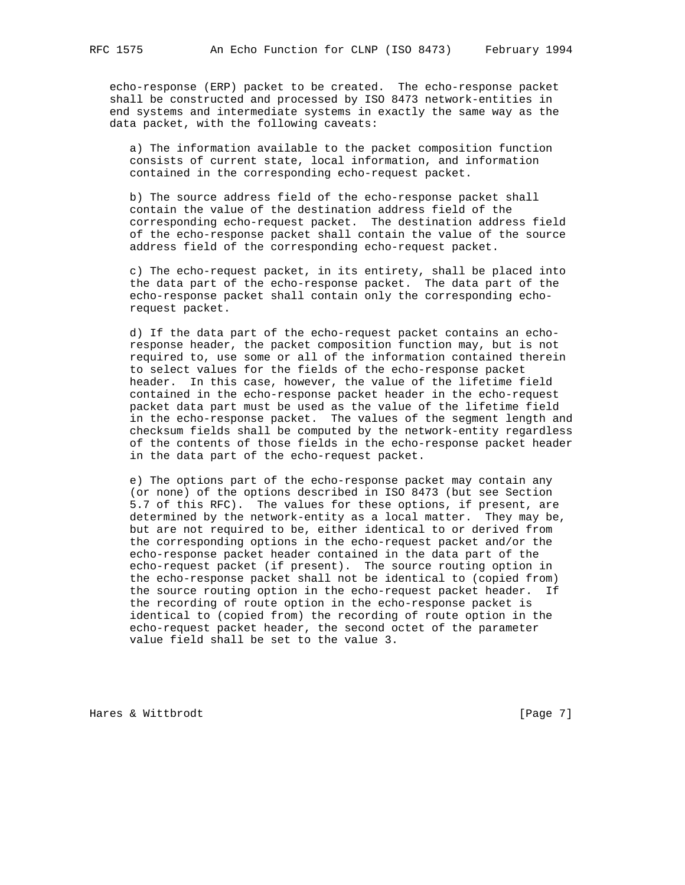echo-response (ERP) packet to be created. The echo-response packet shall be constructed and processed by ISO 8473 network-entities in end systems and intermediate systems in exactly the same way as the data packet, with the following caveats:

 a) The information available to the packet composition function consists of current state, local information, and information contained in the corresponding echo-request packet.

 b) The source address field of the echo-response packet shall contain the value of the destination address field of the corresponding echo-request packet. The destination address field of the echo-response packet shall contain the value of the source address field of the corresponding echo-request packet.

 c) The echo-request packet, in its entirety, shall be placed into the data part of the echo-response packet. The data part of the echo-response packet shall contain only the corresponding echo request packet.

 d) If the data part of the echo-request packet contains an echo response header, the packet composition function may, but is not required to, use some or all of the information contained therein to select values for the fields of the echo-response packet header. In this case, however, the value of the lifetime field contained in the echo-response packet header in the echo-request packet data part must be used as the value of the lifetime field in the echo-response packet. The values of the segment length and checksum fields shall be computed by the network-entity regardless of the contents of those fields in the echo-response packet header in the data part of the echo-request packet.

 e) The options part of the echo-response packet may contain any (or none) of the options described in ISO 8473 (but see Section 5.7 of this RFC). The values for these options, if present, are determined by the network-entity as a local matter. They may be, but are not required to be, either identical to or derived from the corresponding options in the echo-request packet and/or the echo-response packet header contained in the data part of the echo-request packet (if present). The source routing option in the echo-response packet shall not be identical to (copied from) the source routing option in the echo-request packet header. If the recording of route option in the echo-response packet is identical to (copied from) the recording of route option in the echo-request packet header, the second octet of the parameter value field shall be set to the value 3.

Hares & Wittbrodt [Page 7]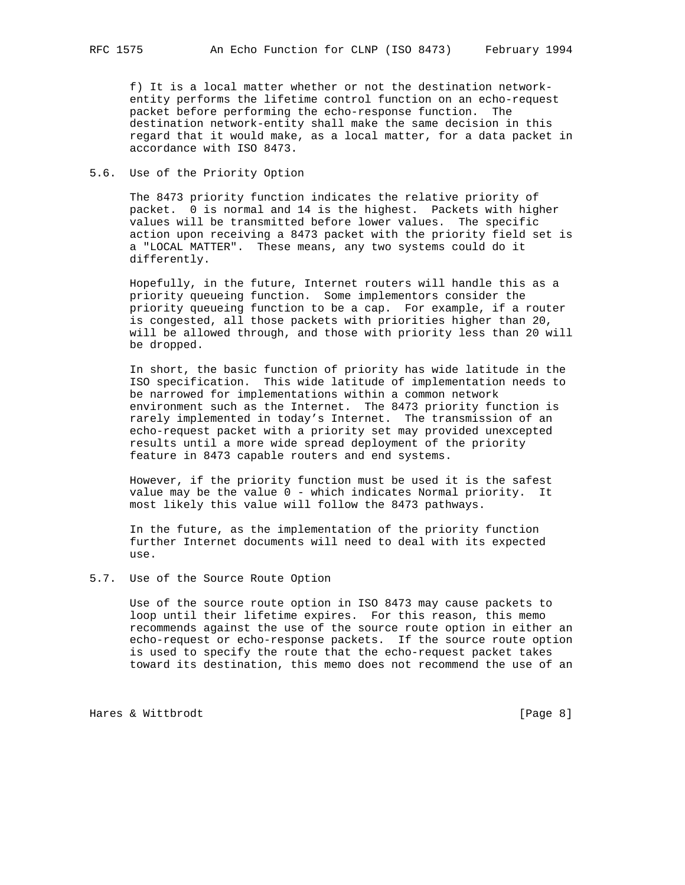f) It is a local matter whether or not the destination network entity performs the lifetime control function on an echo-request packet before performing the echo-response function. The destination network-entity shall make the same decision in this regard that it would make, as a local matter, for a data packet in accordance with ISO 8473.

### 5.6. Use of the Priority Option

 The 8473 priority function indicates the relative priority of packet. 0 is normal and 14 is the highest. Packets with higher values will be transmitted before lower values. The specific action upon receiving a 8473 packet with the priority field set is a "LOCAL MATTER". These means, any two systems could do it differently.

 Hopefully, in the future, Internet routers will handle this as a priority queueing function. Some implementors consider the priority queueing function to be a cap. For example, if a router is congested, all those packets with priorities higher than 20, will be allowed through, and those with priority less than 20 will be dropped.

 In short, the basic function of priority has wide latitude in the ISO specification. This wide latitude of implementation needs to be narrowed for implementations within a common network environment such as the Internet. The 8473 priority function is rarely implemented in today's Internet. The transmission of an echo-request packet with a priority set may provided unexcepted results until a more wide spread deployment of the priority feature in 8473 capable routers and end systems.

 However, if the priority function must be used it is the safest value may be the value 0 - which indicates Normal priority. It most likely this value will follow the 8473 pathways.

 In the future, as the implementation of the priority function further Internet documents will need to deal with its expected  $11S<sub>e</sub>$ 

#### 5.7. Use of the Source Route Option

 Use of the source route option in ISO 8473 may cause packets to loop until their lifetime expires. For this reason, this memo recommends against the use of the source route option in either an echo-request or echo-response packets. If the source route option is used to specify the route that the echo-request packet takes toward its destination, this memo does not recommend the use of an

Hares & Wittbrodt [Page 8]